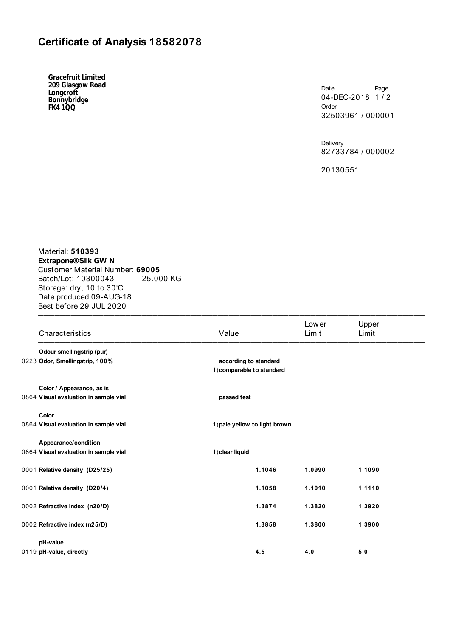## **Certificate of Analysis 18582078**

**Gracefruit Limited 209 Glasgow Road Longcroft Bonnybridge FK4 1QQ**

Date Page 04-DEC-2018 1/2 Order 32503961 / 000001

Delivery 82733784 / 000002

20130551

Material: **510393 Extrapone® Silk GW N**  Customer Material Number: **69005** Batch/Lot: 10300043 25.000 KG Storage: dry, 10 to 30°C Date produced 09-AUG-18 Best before 29 JUL 2020  $\blacksquare$ 

| Characteristics                       | Value                         | Low er<br>Limit           | Upper<br>Limit |  |  |  |  |
|---------------------------------------|-------------------------------|---------------------------|----------------|--|--|--|--|
| Odour smellingstrip (pur)             |                               |                           |                |  |  |  |  |
| 0223 Odor, Smellingstrip, 100%        | according to standard         | 1) comparable to standard |                |  |  |  |  |
| Color / Appearance, as is             |                               |                           |                |  |  |  |  |
| 0864 Visual evaluation in sample vial | passed test                   |                           |                |  |  |  |  |
| Color                                 |                               |                           |                |  |  |  |  |
| 0864 Visual evaluation in sample vial | 1) pale yellow to light brown |                           |                |  |  |  |  |
| Appearance/condition                  |                               |                           |                |  |  |  |  |
| 0864 Visual evaluation in sample vial | 1) clear liquid               |                           |                |  |  |  |  |
| 0001 Relative density (D25/25)        | 1.1046                        | 1.0990                    | 1.1090         |  |  |  |  |
| 0001 Relative density (D20/4)         | 1.1058                        | 1.1010                    | 1.1110         |  |  |  |  |
| 0002 Refractive index (n20/D)         | 1.3874                        | 1.3820                    | 1.3920         |  |  |  |  |
| 0002 Refractive index (n25/D)         | 1.3858                        | 1.3800                    | 1.3900         |  |  |  |  |
| pH-value                              |                               |                           |                |  |  |  |  |
| 0119 pH-value, directly               | 4.5                           | 4.0                       | 5.0            |  |  |  |  |